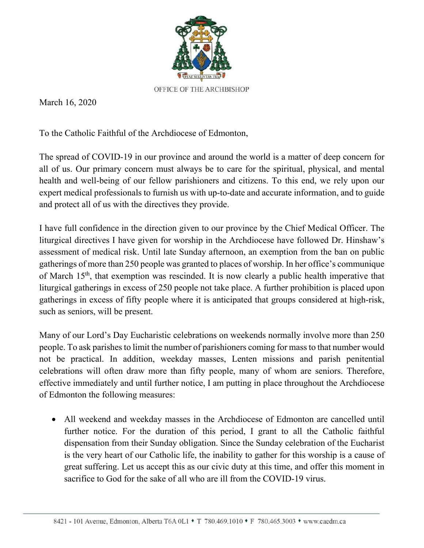

March 16, 2020

To the Catholic Faithful of the Archdiocese of Edmonton,

The spread of COVID-19 in our province and around the world is a matter of deep concern for all of us. Our primary concern must always be to care for the spiritual, physical, and mental health and well-being of our fellow parishioners and citizens. To this end, we rely upon our expert medical professionals to furnish us with up-to-date and accurate information, and to guide and protect all of us with the directives they provide.

I have full confidence in the direction given to our province by the Chief Medical Officer. The liturgical directives I have given for worship in the Archdiocese have followed Dr. Hinshaw's assessment of medical risk. Until late Sunday afternoon, an exemption from the ban on public gatherings of more than 250 people was granted to places of worship. In her office's communique of March 15th, that exemption was rescinded. It is now clearly a public health imperative that liturgical gatherings in excess of 250 people not take place. A further prohibition is placed upon gatherings in excess of fifty people where it is anticipated that groups considered at high-risk, such as seniors, will be present.

Many of our Lord's Day Eucharistic celebrations on weekends normally involve more than 250 people. To ask parishes to limit the number of parishioners coming for mass to that number would not be practical. In addition, weekday masses, Lenten missions and parish penitential celebrations will often draw more than fifty people, many of whom are seniors. Therefore, effective immediately and until further notice, I am putting in place throughout the Archdiocese of Edmonton the following measures:

 All weekend and weekday masses in the Archdiocese of Edmonton are cancelled until further notice. For the duration of this period, I grant to all the Catholic faithful dispensation from their Sunday obligation. Since the Sunday celebration of the Eucharist is the very heart of our Catholic life, the inability to gather for this worship is a cause of great suffering. Let us accept this as our civic duty at this time, and offer this moment in sacrifice to God for the sake of all who are ill from the COVID-19 virus.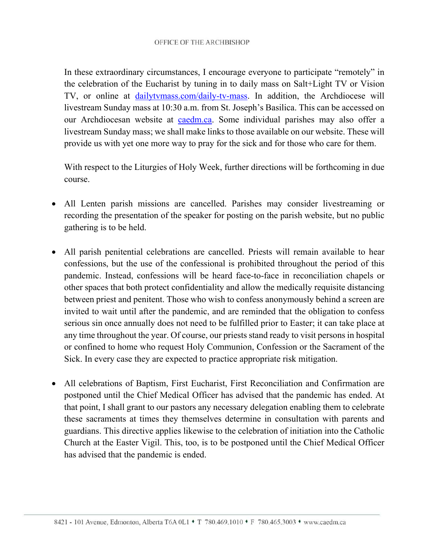In these extraordinary circumstances, I encourage everyone to participate "remotely" in the celebration of the Eucharist by tuning in to daily mass on Salt+Light TV or Vision TV, or online at dailytvmass.com/daily-tv-mass. In addition, the Archdiocese will livestream Sunday mass at 10:30 a.m. from St. Joseph's Basilica. This can be accessed on our Archdiocesan website at caedm.ca. Some individual parishes may also offer a livestream Sunday mass; we shall make links to those available on our website. These will provide us with yet one more way to pray for the sick and for those who care for them.

With respect to the Liturgies of Holy Week, further directions will be forthcoming in due course.

- All Lenten parish missions are cancelled. Parishes may consider livestreaming or recording the presentation of the speaker for posting on the parish website, but no public gathering is to be held.
- All parish penitential celebrations are cancelled. Priests will remain available to hear confessions, but the use of the confessional is prohibited throughout the period of this pandemic. Instead, confessions will be heard face-to-face in reconciliation chapels or other spaces that both protect confidentiality and allow the medically requisite distancing between priest and penitent. Those who wish to confess anonymously behind a screen are invited to wait until after the pandemic, and are reminded that the obligation to confess serious sin once annually does not need to be fulfilled prior to Easter; it can take place at any time throughout the year. Of course, our priests stand ready to visit persons in hospital or confined to home who request Holy Communion, Confession or the Sacrament of the Sick. In every case they are expected to practice appropriate risk mitigation.
- All celebrations of Baptism, First Eucharist, First Reconciliation and Confirmation are postponed until the Chief Medical Officer has advised that the pandemic has ended. At that point, I shall grant to our pastors any necessary delegation enabling them to celebrate these sacraments at times they themselves determine in consultation with parents and guardians. This directive applies likewise to the celebration of initiation into the Catholic Church at the Easter Vigil. This, too, is to be postponed until the Chief Medical Officer has advised that the pandemic is ended.